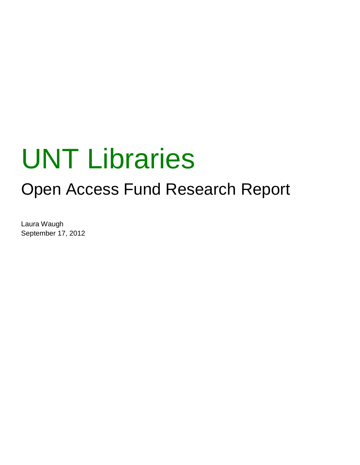# UNT Libraries

## Open Access Fund Research Report

Laura Waugh September 17, 2012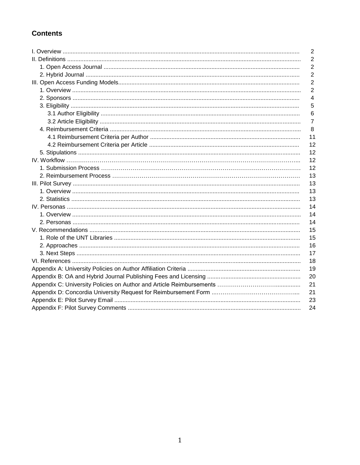## **Contents**

| $\overline{2}$ |
|----------------|
| $\overline{2}$ |
| $\overline{2}$ |
| $\overline{2}$ |
| $\overline{2}$ |
| $\overline{2}$ |
| 4              |
| 5              |
| 6              |
| $\overline{7}$ |
| 8              |
| 11             |
| 12             |
| 12             |
| 12             |
| 12             |
| 13             |
| 13             |
| 13             |
| 13             |
| 14             |
| 14             |
| 14             |
| 15             |
| 15             |
| 16             |
| 17             |
| 18             |
| 19             |
| 20             |
| 21             |
| 21             |
| 23             |
| 24             |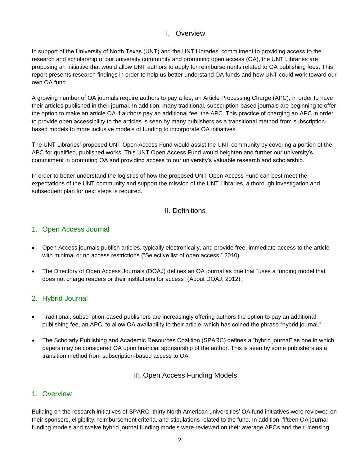## I. Overview

In support of the University of North Texas (UNT) and the UNT Libraries' commitment to providing access to the research and scholarship of our university community and promoting open access (OA), the UNT Libraries are proposing an initiative that would allow UNT authors to apply for reimbursements related to OA publishing fees. This report presents research findings in order to help us better understand OA funds and how UNT could work toward our own OA fund.

A growing number of OA journals require authors to pay a fee, an Article Processing Charge (APC), in order to have their articles published in their journal. In addition, many traditional, subscription-based journals are beginning to offer the option to make an article OA if authors pay an additional fee, the APC. This practice of charging an APC in order to provide open accessibility to the articles is seen by many publishers as a transitional method from subscriptionbased models to more inclusive models of funding to incorporate OA initiatives.

The UNT Libraries' proposed UNT Open Access Fund would assist the UNT community by covering a portion of the APC for qualified, published works. This UNT Open Access Fund would heighten and further our university's commitment in promoting OA and providing access to our university's valuable research and scholarship.

In order to better understand the logistics of how the proposed UNT Open Access Fund can best meet the expectations of the UNT community and support the mission of the UNT Libraries, a thorough investigation and subsequent plan for next steps is required.

## II. Definitions

## 1. Open Access Journal

- Open Access journals publish articles, typically electronically, and provide free, immediate access to the article with minimal or no access restrictions ("Selective list of open access," 2010).
- The Directory of Open Access Journals (DOAJ) defines an OA journal as one that "uses a funding model that does not charge readers or their institutions for access" (About DOAJ, 2012).

## 2. Hybrid Journal

- Traditional, subscription-based publishers are increasingly offering authors the option to pay an additional publishing fee, an APC, to allow OA availability to their article, which has coined the phrase "hybrid journal."
- The Scholarly Publishing and Academic Resources Coalition (SPARC) defines a "hybrid journal" as one in which papers may be considered OA upon financial sponsorship of the author. This is seen by some publishers as a transition method from subscription-based access to OA.

## III. Open Access Funding Models

## 1. Overview

Building on the research initiatives of SPARC, thirty North American universities' OA fund initiatives were reviewed on their sponsors, eligibility, reimbursement criteria, and stipulations related to the fund. In addition, fifteen OA journal funding models and twelve hybrid journal funding models were reviewed on their average APCs and their licensing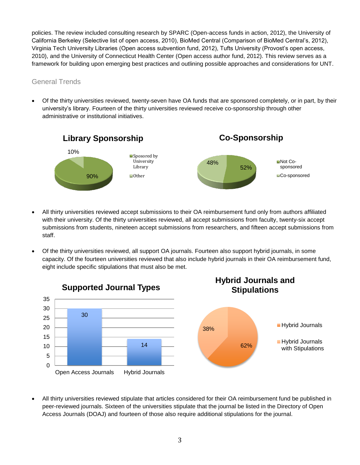policies. The review included consulting research by SPARC (Open-access funds in action, 2012), the University of California Berkeley (Selective list of open access, 2010), BioMed Central (Comparison of BioMed Central's, 2012), Virginia Tech University Libraries (Open access subvention fund, 2012), Tufts University (Provost's open access, 2010), and the University of Connecticut Health Center (Open access author fund, 2012). This review serves as a framework for building upon emerging best practices and outlining possible approaches and considerations for UNT.

## General Trends

 Of the thirty universities reviewed, twenty-seven have OA funds that are sponsored completely, or in part, by their university's library. Fourteen of the thirty universities reviewed receive co-sponsorship through other administrative or institutional initiatives.



- All thirty universities reviewed accept submissions to their OA reimbursement fund only from authors affiliated with their university. Of the thirty universities reviewed, all accept submissions from faculty, twenty-six accept submissions from students, nineteen accept submissions from researchers, and fifteen accept submissions from staff.
- Of the thirty universities reviewed, all support OA journals. Fourteen also support hybrid journals, in some capacity. Of the fourteen universities reviewed that also include hybrid journals in their OA reimbursement fund, eight include specific stipulations that must also be met.



 All thirty universities reviewed stipulate that articles considered for their OA reimbursement fund be published in peer-reviewed journals. Sixteen of the universities stipulate that the journal be listed in the Directory of Open Access Journals (DOAJ) and fourteen of those also require additional stipulations for the journal.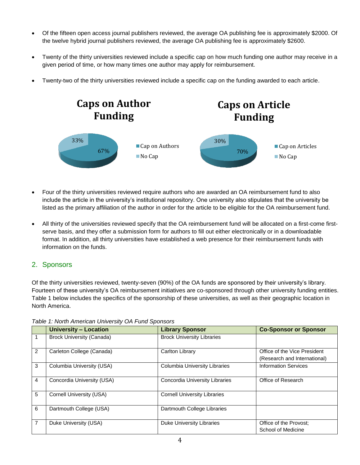- Of the fifteen open access journal publishers reviewed, the average OA publishing fee is approximately \$2000. Of the twelve hybrid journal publishers reviewed, the average OA publishing fee is approximately \$2600.
- Twenty of the thirty universities reviewed include a specific cap on how much funding one author may receive in a given period of time, or how many times one author may apply for reimbursement.
- Twenty-two of the thirty universities reviewed include a specific cap on the funding awarded to each article.



- Four of the thirty universities reviewed require authors who are awarded an OA reimbursement fund to also include the article in the university's institutional repository. One university also stipulates that the university be listed as the primary affiliation of the author in order for the article to be eligible for the OA reimbursement fund.
- All thirty of the universities reviewed specify that the OA reimbursement fund will be allocated on a first-come firstserve basis, and they offer a submission form for authors to fill out either electronically or in a downloadable format. In addition, all thirty universities have established a web presence for their reimbursement funds with information on the funds.

## 2. Sponsors

Of the thirty universities reviewed, twenty-seven (90%) of the OA funds are sponsored by their university's library. Fourteen of these university's OA reimbursement initiatives are co-sponsored through other university funding entities. Table 1 below includes the specifics of the sponsorship of these universities, as well as their geographic location in North America.

|   | <b>University - Location</b>     | <b>Library Sponsor</b>              | <b>Co-Sponsor or Sponsor</b> |
|---|----------------------------------|-------------------------------------|------------------------------|
|   | <b>Brock University (Canada)</b> | <b>Brock University Libraries</b>   |                              |
| 2 | Carleton College (Canada)        | Carlton Library                     | Office of the Vice President |
|   |                                  |                                     | (Research and International) |
| 3 | Columbia University (USA)        | Columbia University Libraries       | <b>Information Services</b>  |
| 4 | Concordia University (USA)       | Concordia University Libraries      | Office of Research           |
| 5 | Cornell University (USA)         | <b>Cornell University Libraries</b> |                              |
| 6 | Dartmouth College (USA)          | Dartmouth College Libraries         |                              |
| 7 | Duke University (USA)            | <b>Duke University Libraries</b>    | Office of the Provost;       |
|   |                                  |                                     | School of Medicine           |

*Table 1: North American University OA Fund Sponsors*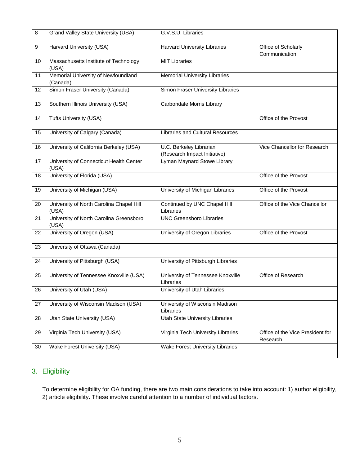| $\, 8$ | Grand Valley State University (USA)               | G.V.S.U. Libraries                                      |                                              |
|--------|---------------------------------------------------|---------------------------------------------------------|----------------------------------------------|
| 9      | Harvard University (USA)                          | <b>Harvard University Libraries</b>                     | Office of Scholarly<br>Communication         |
| 10     | Massachusetts Institute of Technology<br>(USA)    | <b>MIT Libraries</b>                                    |                                              |
| 11     | Memorial University of Newfoundland<br>(Canada)   | <b>Memorial University Libraries</b>                    |                                              |
| 12     | Simon Fraser University (Canada)                  | Simon Fraser University Libraries                       |                                              |
| 13     | Southern Illinois University (USA)                | Carbondale Morris Library                               |                                              |
| 14     | Tufts University (USA)                            |                                                         | Office of the Provost                        |
| 15     | University of Calgary (Canada)                    | <b>Libraries and Cultural Resources</b>                 |                                              |
| 16     | University of California Berkeley (USA)           | U.C. Berkeley Librarian<br>(Research Impact Initiative) | Vice Chancellor for Research                 |
| 17     | University of Connecticut Health Center<br>(USA)  | Lyman Maynard Stowe Library                             |                                              |
| 18     | University of Florida (USA)                       |                                                         | Office of the Provost                        |
| 19     | University of Michigan (USA)                      | University of Michigan Libraries                        | Office of the Provost                        |
| 20     | University of North Carolina Chapel Hill<br>(USA) | Continued by UNC Chapel Hill<br>Libraries               | Office of the Vice Chancellor                |
| 21     | University of North Carolina Greensboro<br>(USA)  | <b>UNC Greensboro Libraries</b>                         |                                              |
| 22     | University of Oregon (USA)                        | University of Oregon Libraries                          | Office of the Provost                        |
| 23     | University of Ottawa (Canada)                     |                                                         |                                              |
| 24     | University of Pittsburgh (USA)                    | University of Pittsburgh Libraries                      |                                              |
| 25     | University of Tennessee Knoxville (USA)           | University of Tennessee Knoxville<br>Libraries          | Office of Research                           |
| 26     | University of Utah (USA)                          | University of Utah Libraries                            |                                              |
| 27     | University of Wisconsin Madison (USA)             | University of Wisconsin Madison<br>Libraries            |                                              |
| 28     | Utah State University (USA)                       | <b>Utah State University Libraries</b>                  |                                              |
| 29     | Virginia Tech University (USA)                    | Virginia Tech University Libraries                      | Office of the Vice President for<br>Research |
| 30     | Wake Forest University (USA)                      | <b>Wake Forest University Libraries</b>                 |                                              |

## 3. Eligibility

To determine eligibility for OA funding, there are two main considerations to take into account: 1) author eligibility, 2) article eligibility. These involve careful attention to a number of individual factors.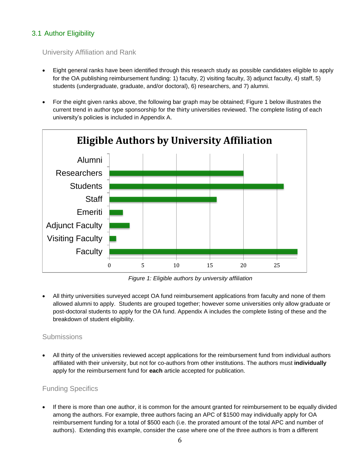## 3.1 Author Eligibility

## University Affiliation and Rank

- Eight general ranks have been identified through this research study as possible candidates eligible to apply for the OA publishing reimbursement funding: 1) faculty, 2) visiting faculty, 3) adjunct faculty, 4) staff, 5) students (undergraduate, graduate, and/or doctoral), 6) researchers, and 7) alumni.
- For the eight given ranks above, the following bar graph may be obtained; Figure 1 below illustrates the current trend in author type sponsorship for the thirty universities reviewed. The complete listing of each university's policies is included in Appendix A.



*Figure 1: Eligible authors by university affiliation*

 All thirty universities surveyed accept OA fund reimbursement applications from faculty and none of them allowed alumni to apply. Students are grouped together; however some universities only allow graduate or post-doctoral students to apply for the OA fund. Appendix A includes the complete listing of these and the breakdown of student eligibility.

## Submissions

 All thirty of the universities reviewed accept applications for the reimbursement fund from individual authors affiliated with their university, but not for co-authors from other institutions. The authors must **individually** apply for the reimbursement fund for **each** article accepted for publication.

## Funding Specifics

 If there is more than one author, it is common for the amount granted for reimbursement to be equally divided among the authors. For example, three authors facing an APC of \$1500 may individually apply for OA reimbursement funding for a total of \$500 each (i.e. the prorated amount of the total APC and number of authors). Extending this example, consider the case where one of the three authors is from a different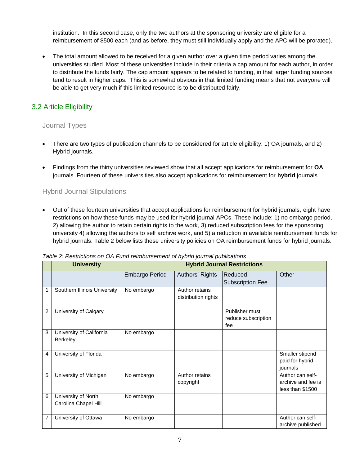institution. In this second case, only the two authors at the sponsoring university are eligible for a reimbursement of \$500 each (and as before, they must still individually apply and the APC will be prorated).

• The total amount allowed to be received for a given author over a given time period varies among the universities studied. Most of these universities include in their criteria a cap amount for each author, in order to distribute the funds fairly. The cap amount appears to be related to funding, in that larger funding sources tend to result in higher caps. This is somewhat obvious in that limited funding means that not everyone will be able to get very much if this limited resource is to be distributed fairly.

## 3.2 Article Eligibility

## Journal Types

- There are two types of publication channels to be considered for article eligibility: 1) OA journals, and 2) Hybrid journals.
- Findings from the thirty universities reviewed show that all accept applications for reimbursement for **OA** journals. Fourteen of these universities also accept applications for reimbursement for **hybrid** journals.

## Hybrid Journal Stipulations

 Out of these fourteen universities that accept applications for reimbursement for hybrid journals, eight have restrictions on how these funds may be used for hybrid journal APCs. These include: 1) no embargo period, 2) allowing the author to retain certain rights to the work, 3) reduced subscription fees for the sponsoring university 4) allowing the authors to self archive work, and 5) a reduction in available reimbursement funds for hybrid journals. Table 2 below lists these university policies on OA reimbursement funds for hybrid journals.

|                | <b>University</b>                           | <b>Hybrid Journal Restrictions</b> |                                       |                                              |                                                            |
|----------------|---------------------------------------------|------------------------------------|---------------------------------------|----------------------------------------------|------------------------------------------------------------|
|                |                                             | Embargo Period                     | Authors' Rights                       | Reduced<br><b>Subscription Fee</b>           | Other                                                      |
| 1              | Southern Illinois University                | No embargo                         | Author retains<br>distribution rights |                                              |                                                            |
| $\overline{2}$ | University of Calgary                       |                                    |                                       | Publisher must<br>reduce subscription<br>fee |                                                            |
| 3              | University of California<br>Berkeley        | No embargo                         |                                       |                                              |                                                            |
| 4              | University of Florida                       |                                    |                                       |                                              | Smaller stipend<br>paid for hybrid<br>journals             |
| 5              | University of Michigan                      | No embargo                         | Author retains<br>copyright           |                                              | Author can self-<br>archive and fee is<br>less than \$1500 |
| 6              | University of North<br>Carolina Chapel Hill | No embargo                         |                                       |                                              |                                                            |
| 7              | University of Ottawa                        | No embargo                         |                                       |                                              | Author can self-<br>archive published                      |

*Table 2: Restrictions on OA Fund reimbursement of hybrid journal publications*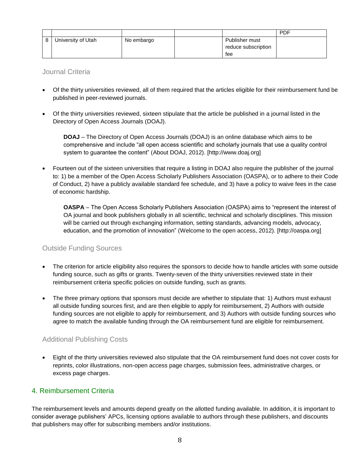|                    |            |                     | <b>PDF</b> |
|--------------------|------------|---------------------|------------|
| University of Utah | No embargo | Publisher must      |            |
|                    |            | reduce subscription |            |
|                    |            | fee                 |            |

Journal Criteria

- Of the thirty universities reviewed, all of them required that the articles eligible for their reimbursement fund be published in peer-reviewed journals.
- Of the thirty universities reviewed, sixteen stipulate that the article be published in a journal listed in the Directory of Open Access Journals (DOAJ).

**DOAJ** – The Directory of Open Access Journals (DOAJ) is an online database which aims to be comprehensive and include "all open access scientific and scholarly journals that use a quality control system to guarantee the content" (About DOAJ, 2012). [http://www.doaj.org]

 Fourteen out of the sixteen universities that require a listing in DOAJ also require the publisher of the journal to: 1) be a member of the Open Access Scholarly Publishers Association (OASPA), or to adhere to their Code of Conduct, 2) have a publicly available standard fee schedule, and 3) have a policy to waive fees in the case of economic hardship.

**OASPA** – The Open Access Scholarly Publishers Association (OASPA) aims to "represent the interest of OA journal and book publishers globally in all scientific, technical and scholarly disciplines. This mission will be carried out through exchanging information, setting standards, advancing models, advocacy, education, and the promotion of innovation" (Welcome to the open access, 2012). [http://oaspa.org]

## Outside Funding Sources

- The criterion for article eligibility also requires the sponsors to decide how to handle articles with some outside funding source, such as gifts or grants. Twenty-seven of the thirty universities reviewed state in their reimbursement criteria specific policies on outside funding, such as grants.
- The three primary options that sponsors must decide are whether to stipulate that: 1) Authors must exhaust all outside funding sources first, and are then eligible to apply for reimbursement, 2) Authors with outside funding sources are not eligible to apply for reimbursement, and 3) Authors with outside funding sources who agree to match the available funding through the OA reimbursement fund are eligible for reimbursement.

## Additional Publishing Costs

 Eight of the thirty universities reviewed also stipulate that the OA reimbursement fund does not cover costs for reprints, color illustrations, non-open access page charges, submission fees, administrative charges, or excess page charges.

## 4. Reimbursement Criteria

The reimbursement levels and amounts depend greatly on the allotted funding available. In addition, it is important to consider average publishers' APCs, licensing options available to authors through these publishers, and discounts that publishers may offer for subscribing members and/or institutions.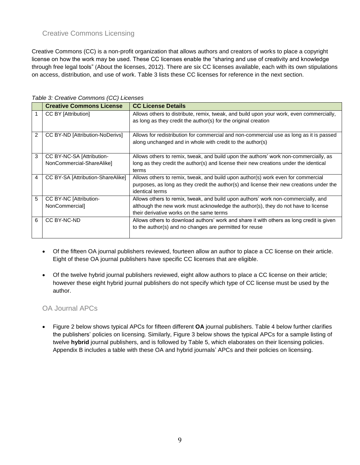## Creative Commons Licensing

Creative Commons (CC) is a non-profit organization that allows authors and creators of works to place a copyright license on how the work may be used. These CC licenses enable the "sharing and use of creativity and knowledge through free legal tools" (About the licenses, 2012). There are six CC licenses available, each with its own stipulations on access, distribution, and use of work. Table 3 lists these CC licenses for reference in the next section.

|   | <b>Creative Commons License</b>   | <b>CC License Details</b>                                                                |
|---|-----------------------------------|------------------------------------------------------------------------------------------|
|   | <b>CC BY [Attribution]</b>        | Allows others to distribute, remix, tweak, and build upon your work, even commercially,  |
|   |                                   | as long as they credit the author(s) for the original creation                           |
|   |                                   |                                                                                          |
| 2 | CC BY-ND [Attribution-NoDerivs]   | Allows for redistribution for commercial and non-commercial use as long as it is passed  |
|   |                                   | along unchanged and in whole with credit to the author(s)                                |
|   |                                   |                                                                                          |
| 3 | CC BY-NC-SA [Attribution-         | Allows others to remix, tweak, and build upon the authors' work non-commercially, as     |
|   | NonCommercial-ShareAlike]         | long as they credit the author(s) and license their new creations under the identical    |
|   |                                   | terms                                                                                    |
| 4 | CC BY-SA [Attribution-ShareAlike] | Allows others to remix, tweak, and build upon author(s) work even for commercial         |
|   |                                   | purposes, as long as they credit the author(s) and license their new creations under the |
|   |                                   | identical terms                                                                          |
| 5 | CC BY-NC [Attribution-            | Allows others to remix, tweak, and build upon authors' work non-commercially, and        |
|   | NonCommercial]                    | although the new work must acknowledge the author(s), they do not have to license        |
|   |                                   | their derivative works on the same terms                                                 |
| 6 | CC BY-NC-ND                       | Allows others to download authors' work and share it with others as long credit is given |
|   |                                   | to the author(s) and no changes are permitted for reuse                                  |
|   |                                   |                                                                                          |

*Table 3: Creative Commons (CC) Licenses*

- Of the fifteen OA journal publishers reviewed, fourteen allow an author to place a CC license on their article. Eight of these OA journal publishers have specific CC licenses that are eligible.
- Of the twelve hybrid journal publishers reviewed, eight allow authors to place a CC license on their article; however these eight hybrid journal publishers do not specify which type of CC license must be used by the author.

## OA Journal APCs

 Figure 2 below shows typical APCs for fifteen different **OA** journal publishers. Table 4 below further clarifies the publishers' policies on licensing. Similarly, Figure 3 below shows the typical APCs for a sample listing of twelve **hybrid** journal publishers, and is followed by Table 5, which elaborates on their licensing policies. Appendix B includes a table with these OA and hybrid journals' APCs and their policies on licensing.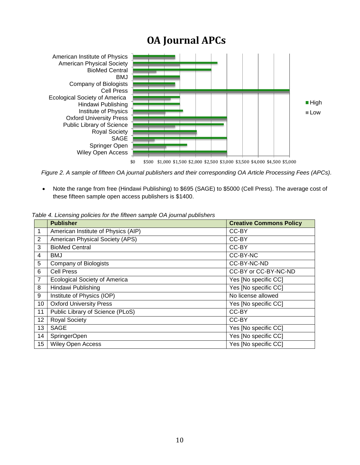## **OA Journal APCs**



*Figure 2. A sample of fifteen OA journal publishers and their corresponding OA Article Processing Fees (APCs).*

 Note the range from free (Hindawi Publishing) to \$695 (SAGE) to \$5000 (Cell Press). The average cost of these fifteen sample open access publishers is \$1400.

|                | <b>Publisher</b>                     | <b>Creative Commons Policy</b> |
|----------------|--------------------------------------|--------------------------------|
| $\mathbf{1}$   | American Institute of Physics (AIP)  | CC-BY                          |
| 2              | American Physical Society (APS)      | CC-BY                          |
| 3              | <b>BioMed Central</b>                | CC-BY                          |
| 4              | <b>BMJ</b>                           | CC-BY-NC                       |
| 5              | Company of Biologists                | CC-BY-NC-ND                    |
| 6              | <b>Cell Press</b>                    | CC-BY or CC-BY-NC-ND           |
| $\overline{7}$ | <b>Ecological Society of America</b> | Yes [No specific CC]           |
| 8              | Hindawi Publishing                   | Yes [No specific CC]           |
| 9              | Institute of Physics (IOP)           | No license allowed             |
| 10             | <b>Oxford University Press</b>       | Yes [No specific CC]           |
| 11             | Public Library of Science (PLoS)     | CC-BY                          |
| 12             | <b>Royal Society</b>                 | CC-BY                          |
| 13             | <b>SAGE</b>                          | Yes [No specific CC]           |
| 14             | SpringerOpen                         | Yes [No specific CC]           |
| 15             | Wiley Open Access                    | Yes [No specific CC]           |

*Table 4. Licensing policies for the fifteen sample OA journal publishers*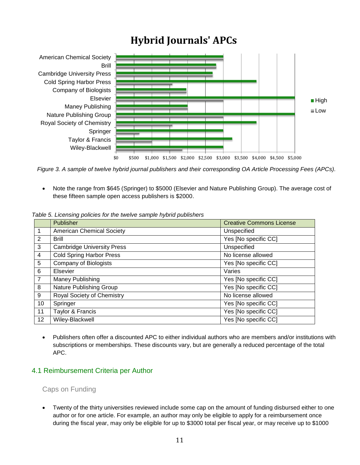## **Hybrid Journals' APCs**



*Figure 3. A sample of twelve hybrid journal publishers and their corresponding OA Article Processing Fees (APCs).*

 Note the range from \$645 (Springer) to \$5000 (Elsevier and Nature Publishing Group). The average cost of these fifteen sample open access publishers is \$2000.

|                | Publisher                         | <b>Creative Commons License</b> |
|----------------|-----------------------------------|---------------------------------|
| 1              | <b>American Chemical Society</b>  | Unspecified                     |
| 2              | <b>Brill</b>                      | Yes [No specific CC]            |
| 3              | <b>Cambridge University Press</b> | Unspecified                     |
| 4              | <b>Cold Spring Harbor Press</b>   | No license allowed              |
| 5              | Company of Biologists             | Yes [No specific CC]            |
| 6              | Elsevier                          | Varies                          |
| $\overline{7}$ | Maney Publishing                  | Yes [No specific CC]            |
| 8              | Nature Publishing Group           | Yes [No specific CC]            |
| 9              | Royal Society of Chemistry        | No license allowed              |
| 10             | Springer                          | Yes [No specific CC]            |
| 11             | Taylor & Francis                  | Yes [No specific CC]            |
| 12             | Wiley-Blackwell                   | Yes [No specific CC]            |

*Table 5. Licensing policies for the twelve sample hybrid publishers* 

 Publishers often offer a discounted APC to either individual authors who are members and/or institutions with subscriptions or memberships. These discounts vary, but are generally a reduced percentage of the total APC.

## 4.1 Reimbursement Criteria per Author

## Caps on Funding

 Twenty of the thirty universities reviewed include some cap on the amount of funding disbursed either to one author or for one article. For example, an author may only be eligible to apply for a reimbursement once during the fiscal year, may only be eligible for up to \$3000 total per fiscal year, or may receive up to \$1000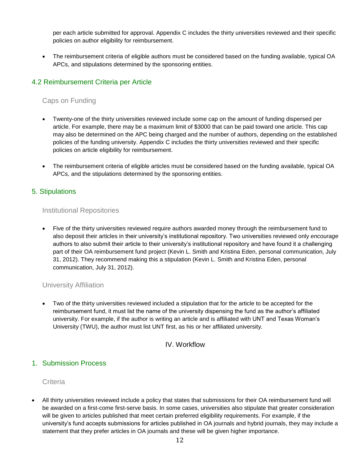per each article submitted for approval. Appendix C includes the thirty universities reviewed and their specific policies on author eligibility for reimbursement.

 The reimbursement criteria of eligible authors must be considered based on the funding available, typical OA APCs, and stipulations determined by the sponsoring entities.

## 4.2 Reimbursement Criteria per Article

## Caps on Funding

- Twenty-one of the thirty universities reviewed include some cap on the amount of funding dispersed per article. For example, there may be a maximum limit of \$3000 that can be paid toward one article. This cap may also be determined on the APC being charged and the number of authors, depending on the established policies of the funding university. Appendix C includes the thirty universities reviewed and their specific policies on article eligibility for reimbursement.
- The reimbursement criteria of eligible articles must be considered based on the funding available, typical OA APCs, and the stipulations determined by the sponsoring entities.

## 5. Stipulations

## Institutional Repositories

 Five of the thirty universities reviewed require authors awarded money through the reimbursement fund to also deposit their articles in their university's institutional repository. Two universities reviewed only *encourage* authors to also submit their article to their university's institutional repository and have found it a challenging part of their OA reimbursement fund project (Kevin L. Smith and Kristina Eden, personal communication, July 31, 2012). They recommend making this a stipulation (Kevin L. Smith and Kristina Eden, personal communication, July 31, 2012).

## University Affiliation

 Two of the thirty universities reviewed included a stipulation that for the article to be accepted for the reimbursement fund, it must list the name of the university dispensing the fund as the author's affiliated university. For example, if the author is writing an article and is affiliated with UNT and Texas Woman's University (TWU), the author must list UNT first, as his or her affiliated university.

## IV. Workflow

## 1. Submission Process

## **Criteria**

 All thirty universities reviewed include a policy that states that submissions for their OA reimbursement fund will be awarded on a first-come first-serve basis. In some cases, universities also stipulate that greater consideration will be given to articles published that meet certain preferred eligibility requirements. For example, if the university's fund accepts submissions for articles published in OA journals and hybrid journals, they may include a statement that they prefer articles in OA journals and these will be given higher importance.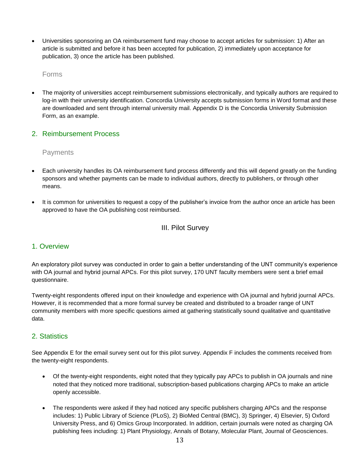Universities sponsoring an OA reimbursement fund may choose to accept articles for submission: 1) After an article is submitted and before it has been accepted for publication, 2) immediately upon acceptance for publication, 3) once the article has been published.

#### Forms

 The majority of universities accept reimbursement submissions electronically, and typically authors are required to log-in with their university identification. Concordia University accepts submission forms in Word format and these are downloaded and sent through internal university mail. Appendix D is the Concordia University Submission Form, as an example.

## 2. Reimbursement Process

## **Payments**

- Each university handles its OA reimbursement fund process differently and this will depend greatly on the funding sponsors and whether payments can be made to individual authors, directly to publishers, or through other means.
- It is common for universities to request a copy of the publisher's invoice from the author once an article has been approved to have the OA publishing cost reimbursed.

## III. Pilot Survey

## 1. Overview

An exploratory pilot survey was conducted in order to gain a better understanding of the UNT community's experience with OA journal and hybrid journal APCs. For this pilot survey, 170 UNT faculty members were sent a brief email questionnaire.

Twenty-eight respondents offered input on their knowledge and experience with OA journal and hybrid journal APCs. However, it is recommended that a more formal survey be created and distributed to a broader range of UNT community members with more specific questions aimed at gathering statistically sound qualitative and quantitative data.

## 2. Statistics

See Appendix E for the email survey sent out for this pilot survey. Appendix F includes the comments received from the twenty-eight respondents.

- Of the twenty-eight respondents, eight noted that they typically pay APCs to publish in OA journals and nine noted that they noticed more traditional, subscription-based publications charging APCs to make an article openly accessible.
- The respondents were asked if they had noticed any specific publishers charging APCs and the response includes: 1) Public Library of Science (PLoS), 2) BioMed Central (BMC), 3) Springer, 4) Elsevier, 5) Oxford University Press, and 6) Omics Group Incorporated. In addition, certain journals were noted as charging OA publishing fees including: 1) Plant Physiology, Annals of Botany, Molecular Plant, Journal of Geosciences.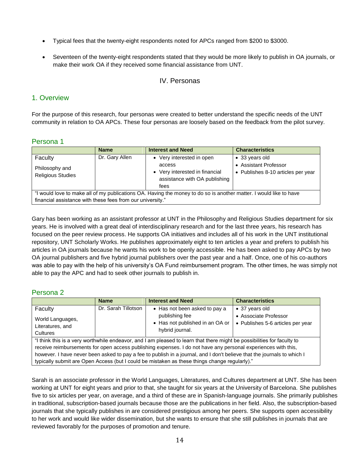- Typical fees that the twenty-eight respondents noted for APCs ranged from \$200 to \$3000.
- Seventeen of the twenty-eight respondents stated that they would be more likely to publish in OA journals, or make their work OA if they received some financial assistance from UNT.

## IV. Personas

## 1. Overview

For the purpose of this research, four personas were created to better understand the specific needs of the UNT community in relation to OA APCs. These four personas are loosely based on the feedback from the pilot survey.

## Persona 1

|                                                                                                                    | <b>Name</b>    | <b>Interest and Need</b>       | <b>Characteristics</b>             |  |
|--------------------------------------------------------------------------------------------------------------------|----------------|--------------------------------|------------------------------------|--|
| Faculty                                                                                                            | Dr. Gary Allen | • Very interested in open      | • 33 years old                     |  |
| Philosophy and                                                                                                     |                | access                         | • Assistant Professor              |  |
| <b>Religious Studies</b>                                                                                           |                | • Very interested in financial | • Publishes 8-10 articles per year |  |
|                                                                                                                    |                | assistance with OA publishing  |                                    |  |
|                                                                                                                    |                | fees                           |                                    |  |
| "I would love to make all of my publications OA. Having the money to do so is another matter. I would like to have |                |                                |                                    |  |
| financial assistance with these fees from our university."                                                         |                |                                |                                    |  |

Gary has been working as an assistant professor at UNT in the Philosophy and Religious Studies department for six years. He is involved with a great deal of interdisciplinary research and for the last three years, his research has focused on the peer review process. He supports OA initiatives and includes all of his work in the UNT institutional repository, UNT Scholarly Works. He publishes approximately eight to ten articles a year and prefers to publish his articles in OA journals because he wants his work to be openly accessible. He has been asked to pay APCs by two OA journal publishers and five hybrid journal publishers over the past year and a half. Once, one of his co-authors was able to pay with the help of his university's OA Fund reimbursement program. The other times, he was simply not able to pay the APC and had to seek other journals to publish in.

## Persona 2

|                                                                                                                                                                                                                                                                                                                                                                                                                                                                      | <b>Name</b>         | <b>Interest and Need</b>                           | <b>Characteristics</b>            |  |
|----------------------------------------------------------------------------------------------------------------------------------------------------------------------------------------------------------------------------------------------------------------------------------------------------------------------------------------------------------------------------------------------------------------------------------------------------------------------|---------------------|----------------------------------------------------|-----------------------------------|--|
| Faculty                                                                                                                                                                                                                                                                                                                                                                                                                                                              | Dr. Sarah Tillotson | • Has not been asked to pay a                      | • 37 years old                    |  |
| World Languages,                                                                                                                                                                                                                                                                                                                                                                                                                                                     |                     | publishing fee                                     | • Associate Professor             |  |
| Literatures, and<br>Cultures                                                                                                                                                                                                                                                                                                                                                                                                                                         |                     | • Has not published in an OA or<br>hybrid journal. | • Publishes 5-6 articles per year |  |
| "I think this is a very worthwhile endeavor, and I am pleased to learn that there might be possibilities for faculty to<br>receive reimbursements for open access publishing expenses. I do not have any personal experiences with this,<br>however. I have never been asked to pay a fee to publish in a journal, and I don't believe that the journals to which I<br>typically submit are Open Access (but I could be mistaken as these things change regularly)." |                     |                                                    |                                   |  |

Sarah is an associate professor in the World Languages, Literatures, and Cultures department at UNT. She has been working at UNT for eight years and prior to that, she taught for six years at the University of Barcelona. She publishes five to six articles per year, on average, and a third of these are in Spanish-language journals. She primarily publishes in traditional, subscription-based journals because those are the publications in her field. Also, the subscription-based journals that she typically publishes in are considered prestigious among her peers. She supports open accessibility to her work and would like wider dissemination, but she wants to ensure that she still publishes in journals that are reviewed favorably for the purposes of promotion and tenure.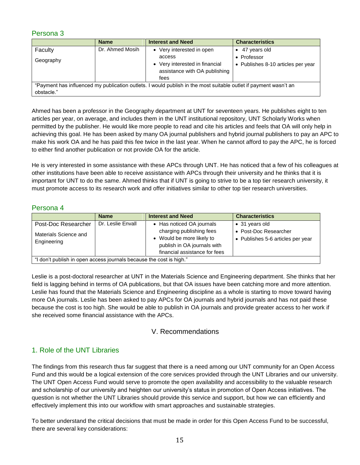## Persona 3

|                                                                                                                  | <b>Name</b>     | <b>Interest and Need</b>       | <b>Characteristics</b>             |  |
|------------------------------------------------------------------------------------------------------------------|-----------------|--------------------------------|------------------------------------|--|
| Faculty                                                                                                          | Dr. Ahmed Mosih | • Very interested in open      | 47 years old                       |  |
| Geography                                                                                                        |                 | access                         | • Professor                        |  |
|                                                                                                                  |                 | • Very interested in financial | • Publishes 8-10 articles per year |  |
|                                                                                                                  |                 | assistance with OA publishing  |                                    |  |
|                                                                                                                  |                 | fees                           |                                    |  |
| "Payment has influenced my publication outlets. I would publish in the most suitable outlet if payment wasn't an |                 |                                |                                    |  |
| obstacle."                                                                                                       |                 |                                |                                    |  |

Ahmed has been a professor in the Geography department at UNT for seventeen years. He publishes eight to ten articles per year, on average, and includes them in the UNT institutional repository, UNT Scholarly Works when permitted by the publisher. He would like more people to read and cite his articles and feels that OA will only help in achieving this goal. He has been asked by many OA journal publishers and hybrid journal publishers to pay an APC to make his work OA and he has paid this fee twice in the last year. When he cannot afford to pay the APC, he is forced to either find another publication or not provide OA for the article.

He is very interested in some assistance with these APCs through UNT. He has noticed that a few of his colleagues at other institutions have been able to receive assistance with APCs through their university and he thinks that it is important for UNT to do the same. Ahmed thinks that if UNT is going to strive to be a top tier research university, it must promote access to its research work and offer initiatives similar to other top tier research universities.

## Persona 4

|                                                                     | <b>Name</b>       | <b>Interest and Need</b>                                                                                                                           | <b>Characteristics</b>                                                       |  |
|---------------------------------------------------------------------|-------------------|----------------------------------------------------------------------------------------------------------------------------------------------------|------------------------------------------------------------------------------|--|
| Post-Doc Researcher<br>Materials Science and<br>Engineering         | Dr. Leslie Envall | • Has noticed OA journals<br>charging publishing fees<br>• Would be more likely to<br>publish in OA journals with<br>financial assistance for fees | • 31 years old<br>• Post-Doc Researcher<br>• Publishes 5-6 articles per year |  |
| "I don't publish in open access journals because the cost is high." |                   |                                                                                                                                                    |                                                                              |  |

Leslie is a post-doctoral researcher at UNT in the Materials Science and Engineering department. She thinks that her field is lagging behind in terms of OA publications, but that OA issues have been catching more and more attention. Leslie has found that the Materials Science and Engineering discipline as a whole is starting to move toward having more OA journals. Leslie has been asked to pay APCs for OA journals and hybrid journals and has not paid these because the cost is too high. She would be able to publish in OA journals and provide greater access to her work if she received some financial assistance with the APCs.

## V. Recommendations

## 1. Role of the UNT Libraries

The findings from this research thus far suggest that there is a need among our UNT community for an Open Access Fund and this would be a logical extension of the core services provided through the UNT Libraries and our university. The UNT Open Access Fund would serve to promote the open availability and accessibility to the valuable research and scholarship of our university and heighten our university's status in promotion of Open Access initiatives. The question is not whether the UNT Libraries should provide this service and support, but how we can efficiently and effectively implement this into our workflow with smart approaches and sustainable strategies.

To better understand the critical decisions that must be made in order for this Open Access Fund to be successful, there are several key considerations: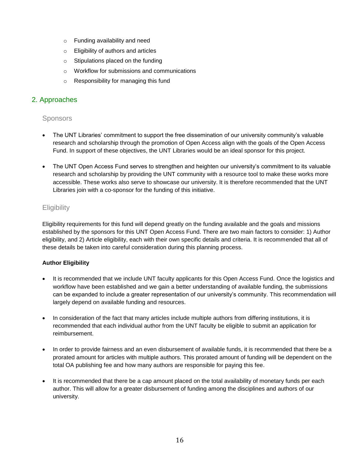- o Funding availability and need
- o Eligibility of authors and articles
- o Stipulations placed on the funding
- o Workflow for submissions and communications
- o Responsibility for managing this fund

## 2. Approaches

## **Sponsors**

- The UNT Libraries' commitment to support the free dissemination of our university community's valuable research and scholarship through the promotion of Open Access align with the goals of the Open Access Fund. In support of these objectives, the UNT Libraries would be an ideal sponsor for this project.
- The UNT Open Access Fund serves to strengthen and heighten our university's commitment to its valuable research and scholarship by providing the UNT community with a resource tool to make these works more accessible. These works also serve to showcase our university. It is therefore recommended that the UNT Libraries join with a co-sponsor for the funding of this initiative.

## **Eligibility**

Eligibility requirements for this fund will depend greatly on the funding available and the goals and missions established by the sponsors for this UNT Open Access Fund. There are two main factors to consider: 1) Author eligibility, and 2) Article eligibility, each with their own specific details and criteria. It is recommended that all of these details be taken into careful consideration during this planning process.

## **Author Eligibility**

- It is recommended that we include UNT faculty applicants for this Open Access Fund. Once the logistics and workflow have been established and we gain a better understanding of available funding, the submissions can be expanded to include a greater representation of our university's community. This recommendation will largely depend on available funding and resources.
- In consideration of the fact that many articles include multiple authors from differing institutions, it is recommended that each individual author from the UNT faculty be eligible to submit an application for reimbursement.
- In order to provide fairness and an even disbursement of available funds, it is recommended that there be a prorated amount for articles with multiple authors. This prorated amount of funding will be dependent on the total OA publishing fee and how many authors are responsible for paying this fee.
- It is recommended that there be a cap amount placed on the total availability of monetary funds per each author. This will allow for a greater disbursement of funding among the disciplines and authors of our university.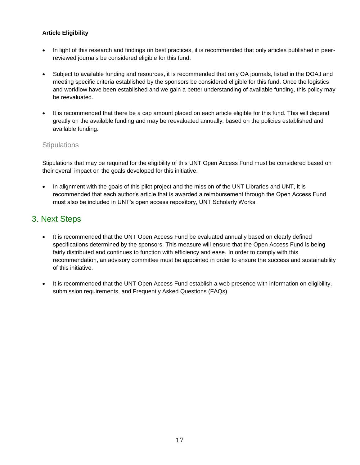## **Article Eligibility**

- In light of this research and findings on best practices, it is recommended that only articles published in peerreviewed journals be considered eligible for this fund.
- Subject to available funding and resources, it is recommended that only OA journals, listed in the DOAJ and meeting specific criteria established by the sponsors be considered eligible for this fund. Once the logistics and workflow have been established and we gain a better understanding of available funding, this policy may be reevaluated.
- It is recommended that there be a cap amount placed on each article eligible for this fund. This will depend greatly on the available funding and may be reevaluated annually, based on the policies established and available funding.

## **Stipulations**

Stipulations that may be required for the eligibility of this UNT Open Access Fund must be considered based on their overall impact on the goals developed for this initiative.

In alignment with the goals of this pilot project and the mission of the UNT Libraries and UNT, it is recommended that each author's article that is awarded a reimbursement through the Open Access Fund must also be included in UNT's open access repository, UNT Scholarly Works.

## 3. Next Steps

- It is recommended that the UNT Open Access Fund be evaluated annually based on clearly defined specifications determined by the sponsors. This measure will ensure that the Open Access Fund is being fairly distributed and continues to function with efficiency and ease. In order to comply with this recommendation, an advisory committee must be appointed in order to ensure the success and sustainability of this initiative.
- It is recommended that the UNT Open Access Fund establish a web presence with information on eligibility, submission requirements, and Frequently Asked Questions (FAQs).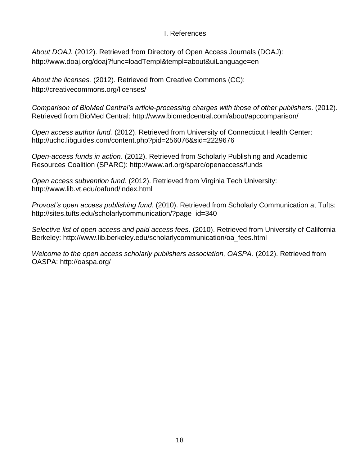## I. References

*About DOAJ.* (2012). Retrieved from Directory of Open Access Journals (DOAJ): http://www.doaj.org/doaj?func=loadTempl&templ=about&uiLanguage=en

*About the licenses.* (2012). Retrieved from Creative Commons (CC): http://creativecommons.org/licenses/

*Comparison of BioMed Central's article-processing charges with those of other publishers*. (2012). Retrieved from BioMed Central: http://www.biomedcentral.com/about/apccomparison/

*Open access author fund.* (2012). Retrieved from University of Connecticut Health Center: http://uchc.libguides.com/content.php?pid=256076&sid=2229676

*Open-access funds in action*. (2012). Retrieved from Scholarly Publishing and Academic Resources Coalition (SPARC): http://www.arl.org/sparc/openaccess/funds

*Open access subvention fund*. (2012). Retrieved from Virginia Tech University: http://www.lib.vt.edu/oafund/index.html

*Provost's open access publishing fund.* (2010). Retrieved from Scholarly Communication at Tufts: http://sites.tufts.edu/scholarlycommunication/?page\_id=340

*Selective list of open access and paid access fees*. (2010). Retrieved from University of California Berkeley: http://www.lib.berkeley.edu/scholarlycommunication/oa\_fees.html

*Welcome to the open access scholarly publishers association, OASPA.* (2012). Retrieved from OASPA: http://oaspa.org/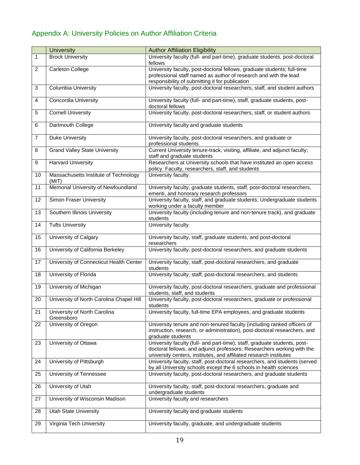## Appendix A: University Policies on Author Affiliation Criteria

|                | <b>University</b>                              | <b>Author Affiliation Eligibility</b>                                                                                                                                                                                     |
|----------------|------------------------------------------------|---------------------------------------------------------------------------------------------------------------------------------------------------------------------------------------------------------------------------|
| 1              | <b>Brock University</b>                        | University faculty (full- and part-time), graduate students, post-doctoral<br>fellows                                                                                                                                     |
| $\overline{c}$ | <b>Carleton College</b>                        | University faculty, post-doctoral fellows, graduate students; full-time<br>professional staff named as author of research and with the lead<br>responsibility of submitting it for publication                            |
| 3              | Columbia University                            | University faculty, post-doctoral researchers, staff, and student authors                                                                                                                                                 |
| 4              | Concordia University                           | University faculty (full- and part-time), staff, graduate students, post-<br>doctoral fellows                                                                                                                             |
| 5              | <b>Cornell University</b>                      | University faculty, post-doctoral researchers, staff, or student authors                                                                                                                                                  |
| 6              | Dartmouth College                              | University faculty and graduate students                                                                                                                                                                                  |
| $\overline{7}$ | <b>Duke University</b>                         | University faculty, post-doctoral researchers, and graduate or<br>professional students                                                                                                                                   |
| 8              | <b>Grand Valley State University</b>           | Current University tenure-track, visiting, affiliate, and adjunct faculty;<br>staff and graduate students                                                                                                                 |
| 9              | <b>Harvard University</b>                      | Researchers at University schools that have instituted an open access<br>policy. Faculty, researchers, staff, and students                                                                                                |
| 10             | Massachusetts Institute of Technology<br>(MIT) | University faculty                                                                                                                                                                                                        |
| 11             | Memorial University of Newfoundland            | University faculty, graduate students, staff, post-doctoral researchers,<br>emeriti, and honorary research professors                                                                                                     |
| 12             | <b>Simon Fraser University</b>                 | University faculty, staff, and graduate students; Undergraduate students<br>working under a faculty member                                                                                                                |
| 13             | Southern Illinois University                   | University faculty (including tenure and non-tenure track), and graduate<br>students                                                                                                                                      |
| 14             | <b>Tufts University</b>                        | University faculty                                                                                                                                                                                                        |
| 15             | University of Calgary                          | University faculty, staff, graduate students, and post-doctoral<br>researchers                                                                                                                                            |
| 16             | University of California Berkeley              | University faculty, post-doctoral researchers, and graduate students                                                                                                                                                      |
| 17             | University of Connecticut Health Center        | University faculty, staff, post-doctoral researchers, and graduate<br>students                                                                                                                                            |
| 18             | University of Florida                          | University faculty, staff, post-doctoral researchers, and students                                                                                                                                                        |
| 19             | University of Michigan                         | University faculty, post-doctoral researchers, graduate and professional<br>students, staff, and students                                                                                                                 |
| 20             | University of North Carolina Chapel Hill       | University faculty, post-doctoral researchers, graduate or professional<br>students                                                                                                                                       |
| 21             | University of North Carolina<br>Greensboro     | University faculty, full-time EPA employees, and graduate students                                                                                                                                                        |
| 22             | University of Oregon                           | University tenure and non-tenured faculty (including ranked officers of<br>instruction, research, or administration), post-doctoral researchers, and<br>graduate students                                                 |
| 23             | University of Ottawa                           | University faculty (full- and part-time), staff, graduate students, post-<br>doctoral fellows, and adjunct professors; Researchers working with the<br>university centers, institutes, and affiliated research institutes |
| 24             | University of Pittsburgh                       | University faculty, staff, post-doctoral researchers, and students (served<br>by all University schools except the 6 schools in health sciences                                                                           |
| 25             | University of Tennessee                        | University faculty, post-doctoral researchers, and graduate students                                                                                                                                                      |
| 26             | University of Utah                             | University faculty, staff, post-doctoral researchers, graduate and<br>undergraduate students                                                                                                                              |
| 27             | University of Wisconsin Madison                | University faculty and researchers                                                                                                                                                                                        |
| 28             | <b>Utah State University</b>                   | University faculty and graduate students                                                                                                                                                                                  |
| 29             | Virginia Tech University                       | University faculty, graduate, and undergraduate students                                                                                                                                                                  |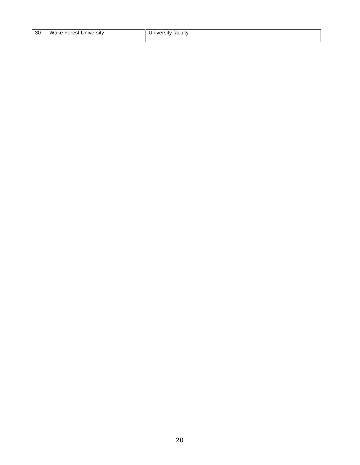| 30 | Wake Forest University | University faculty |
|----|------------------------|--------------------|
|    |                        |                    |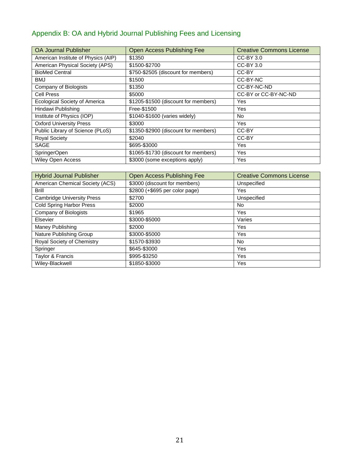## Appendix B: OA and Hybrid Journal Publishing Fees and Licensing

| <b>OA Journal Publisher</b>          | <b>Open Access Publishing Fee</b>    | <b>Creative Commons License</b> |
|--------------------------------------|--------------------------------------|---------------------------------|
| American Institute of Physics (AIP)  | \$1350                               | CC-BY 3.0                       |
| American Physical Society (APS)      | \$1500-\$2700                        | CC-BY 3.0                       |
| <b>BioMed Central</b>                | \$750-\$2505 (discount for members)  | CC-BY                           |
| <b>BMJ</b>                           | \$1500                               | CC-BY-NC                        |
| Company of Biologists                | \$1350                               | CC-BY-NC-ND                     |
| <b>Cell Press</b>                    | \$5000                               | CC-BY or CC-BY-NC-ND            |
| <b>Ecological Society of America</b> | \$1205-\$1500 (discount for members) | Yes                             |
| Hindawi Publishing                   | Free-\$1500                          | Yes                             |
| Institute of Physics (IOP)           | \$1040-\$1600 (varies widely)        | No                              |
| <b>Oxford University Press</b>       | \$3000                               | Yes                             |
| Public Library of Science (PLoS)     | \$1350-\$2900 (discount for members) | CC-BY                           |
| <b>Royal Society</b>                 | \$2040                               | CC-BY                           |
| <b>SAGE</b>                          | \$695-\$3000                         | Yes                             |
| SpringerOpen                         | \$1065-\$1730 (discount for members) | Yes                             |
| <b>Wiley Open Access</b>             | \$3000 (some exceptions apply)       | Yes                             |

| <b>Hybrid Journal Publisher</b>   | Open Access Publishing Fee     | <b>Creative Commons License</b> |
|-----------------------------------|--------------------------------|---------------------------------|
| American Chemical Society (ACS)   | \$3000 (discount for members)  | Unspecified                     |
| Brill                             | \$2800 (+\$695 per color page) | Yes                             |
| <b>Cambridge University Press</b> | \$2700                         | Unspecified                     |
| <b>Cold Spring Harbor Press</b>   | \$2000                         | No.                             |
| Company of Biologists             | \$1965                         | Yes                             |
| Elsevier                          | \$3000-\$5000                  | Varies                          |
| Maney Publishing                  | \$2000                         | Yes                             |
| Nature Publishing Group           | \$3000-\$5000                  | Yes                             |
| Royal Society of Chemistry        | \$1570-\$3930                  | <b>No</b>                       |
| Springer                          | \$645-\$3000                   | Yes                             |
| Taylor & Francis                  | \$995-\$3250                   | Yes                             |
| Wiley-Blackwell                   | \$1850-\$3000                  | Yes                             |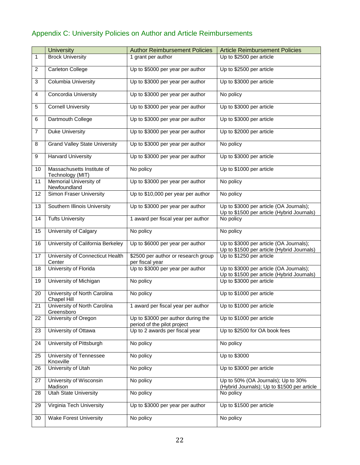## Appendix C: University Policies on Author and Article Reimbursements

|                | <b>University</b>                              | <b>Author Reimbursement Policies</b>                              | <b>Article Reimbursement Policies</b>                                                 |
|----------------|------------------------------------------------|-------------------------------------------------------------------|---------------------------------------------------------------------------------------|
| 1              | <b>Brock University</b>                        | 1 grant per author                                                | Up to \$2500 per article                                                              |
| $\overline{2}$ | Carleton College                               | Up to \$5000 per year per author                                  | Up to \$2500 per article                                                              |
| 3              | Columbia University                            | Up to \$3000 per year per author                                  | Up to \$3000 per article                                                              |
| 4              | Concordia University                           | Up to \$3000 per year per author                                  | No policy                                                                             |
| 5              | <b>Cornell University</b>                      | Up to \$3000 per year per author                                  | Up to \$3000 per article                                                              |
| 6              | Dartmouth College                              | Up to \$3000 per year per author                                  | Up to \$3000 per article                                                              |
| $\overline{7}$ | <b>Duke University</b>                         | Up to \$3000 per year per author                                  | Up to \$2000 per article                                                              |
| 8              | <b>Grand Valley State University</b>           | Up to \$3000 per year per author                                  | No policy                                                                             |
| 9              | <b>Harvard University</b>                      | Up to \$3000 per year per author                                  | Up to \$3000 per article                                                              |
| 10             | Massachusetts Institute of<br>Technology (MIT) | No policy                                                         | Up to \$1000 per article                                                              |
| 11             | Memorial University of<br>Newfoundland         | Up to \$3000 per year per author                                  | No policy                                                                             |
| 12             | <b>Simon Fraser University</b>                 | Up to \$10,000 per year per author                                | No policy                                                                             |
| 13             | Southern Illinois University                   | Up to \$3000 per year per author                                  | Up to \$3000 per article (OA Journals);<br>Up to \$1500 per article (Hybrid Journals) |
| 14             | <b>Tufts University</b>                        | 1 award per fiscal year per author                                | No policy                                                                             |
| 15             | University of Calgary                          | No policy                                                         | No policy                                                                             |
| 16             | University of California Berkeley              | Up to \$6000 per year per author                                  | Up to \$3000 per article (OA Journals);<br>Up to \$1500 per article (Hybrid Journals) |
| 17             | University of Connecticut Health<br>Center     | \$2500 per author or research group<br>per fiscal year            | Up to \$1250 per article                                                              |
| 18             | University of Florida                          | Up to \$3000 per year per author                                  | Up to \$3000 per article (OA Journals);<br>Up to \$1500 per article (Hybrid Journals) |
| 19             | University of Michigan                         | No policy                                                         | Up to \$3000 per article                                                              |
| 20             | University of North Carolina<br>Chapel Hill    | No policy                                                         | Up to \$1000 per article                                                              |
| 21             | University of North Carolina<br>Greensboro     | 1 award per fiscal year per author                                | Up to \$1000 per article                                                              |
| 22             | University of Oregon                           | Up to \$3000 per author during the<br>period of the pilot project | Up to \$1000 per article                                                              |
| 23             | University of Ottawa                           | Up to 2 awards per fiscal year                                    | Up to \$2500 for OA book fees                                                         |
| 24             | University of Pittsburgh                       | No policy                                                         | No policy                                                                             |
| 25             | University of Tennessee<br>Knoxville           | No policy                                                         | Up to \$3000                                                                          |
| 26             | University of Utah                             | No policy                                                         | Up to \$3000 per article                                                              |
| 27             | University of Wisconsin<br>Madison             | No policy                                                         | Up to 50% (OA Journals); Up to 30%<br>(Hybrid Journals); Up to \$1500 per article     |
| 28             | <b>Utah State University</b>                   | No policy                                                         | No policy                                                                             |
| 29             | Virginia Tech University                       | Up to \$3000 per year per author                                  | Up to \$1500 per article                                                              |
| 30             | <b>Wake Forest University</b>                  | No policy                                                         | No policy                                                                             |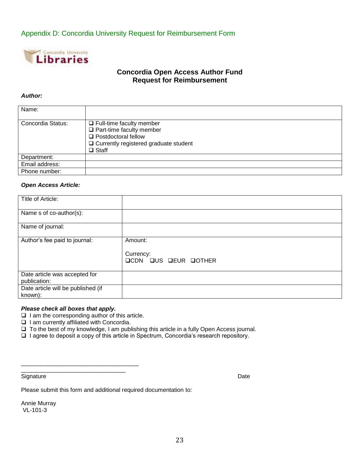## Appendix D: Concordia University Request for Reimbursement Form



## **Concordia Open Access Author Fund Request for Reimbursement**

#### *Author:*

| Name:             |                                                                                                                                                                  |
|-------------------|------------------------------------------------------------------------------------------------------------------------------------------------------------------|
| Concordia Status: | $\Box$ Full-time faculty member<br>$\Box$ Part-time faculty member<br>$\Box$ Postdoctoral fellow<br>$\Box$ Currently registered graduate student<br>$\Box$ Staff |
| Department:       |                                                                                                                                                                  |
| Email address:    |                                                                                                                                                                  |
| Phone number:     |                                                                                                                                                                  |

#### *Open Access Article:*

| Title of Article:                             |                                                     |
|-----------------------------------------------|-----------------------------------------------------|
| Name s of co-author(s):                       |                                                     |
| Name of journal:                              |                                                     |
| Author's fee paid to journal:                 | Amount:<br>Currency:<br><b>QCDN QUS QEUR QOTHER</b> |
| Date article was accepted for<br>publication: |                                                     |
| Date article will be published (if<br>known): |                                                     |

#### *Please check all boxes that apply.*

 $\Box$  I am the corresponding author of this article.

\_\_\_\_\_\_\_\_\_\_\_\_\_\_\_\_\_\_\_\_\_\_\_\_\_\_\_\_\_\_\_\_\_\_\_\_ \_\_\_\_\_\_\_\_\_\_\_\_\_\_\_\_\_\_\_\_\_\_\_\_\_\_\_\_\_\_\_\_

- $\Box$  I am currently affiliated with Concordia.
- To the best of my knowledge, I am publishing this article in a fully Open Access journal.

 $\Box$  I agree to deposit a copy of this article in Spectrum, Concordia's research repository.

Signature Date **Date** Date of the Contract of the Contract of the Contract of the Contract of the Contract of the Contract of the Contract of the Contract of the Contract of the Contract of the Contract of the Contract of

Please submit this form and additional required documentation to:

Annie Murray VL-101-3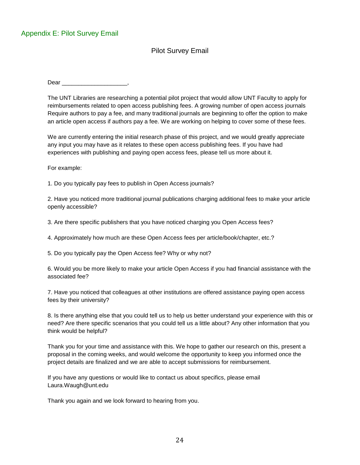## Pilot Survey Email

Dear **Dear** 

The UNT Libraries are researching a potential pilot project that would allow UNT Faculty to apply for reimbursements related to open access publishing fees. A growing number of open access journals Require authors to pay a fee, and many traditional journals are beginning to offer the option to make an article open access if authors pay a fee. We are working on helping to cover some of these fees.

We are currently entering the initial research phase of this project, and we would greatly appreciate any input you may have as it relates to these open access publishing fees. If you have had experiences with publishing and paying open access fees, please tell us more about it.

For example:

1. Do you typically pay fees to publish in Open Access journals?

2. Have you noticed more traditional journal publications charging additional fees to make your article openly accessible?

3. Are there specific publishers that you have noticed charging you Open Access fees?

4. Approximately how much are these Open Access fees per article/book/chapter, etc.?

5. Do you typically pay the Open Access fee? Why or why not?

6. Would you be more likely to make your article Open Access if you had financial assistance with the associated fee?

7. Have you noticed that colleagues at other institutions are offered assistance paying open access fees by their university?

8. Is there anything else that you could tell us to help us better understand your experience with this or need? Are there specific scenarios that you could tell us a little about? Any other information that you think would be helpful?

Thank you for your time and assistance with this. We hope to gather our research on this, present a proposal in the coming weeks, and would welcome the opportunity to keep you informed once the project details are finalized and we are able to accept submissions for reimbursement.

If you have any questions or would like to contact us about specifics, please email Laura.Waugh@unt.edu

Thank you again and we look forward to hearing from you.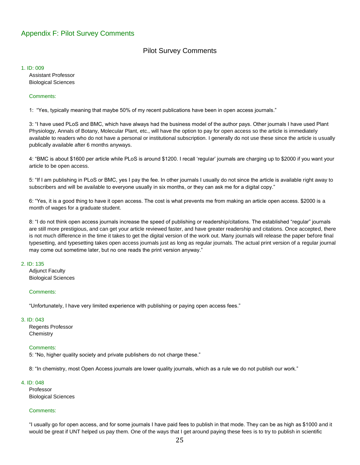## Appendix F: Pilot Survey Comments

## Pilot Survey Comments

#### 1. ID: 009

Assistant Professor Biological Sciences

#### Comments:

1: "Yes, typically meaning that maybe 50% of my recent publications have been in open access journals."

3: "I have used PLoS and BMC, which have always had the business model of the author pays. Other journals I have used Plant Physiology, Annals of Botany, Molecular Plant, etc., will have the option to pay for open access so the article is immediately available to readers who do not have a personal or institutional subscription. I generally do not use these since the article is usually publically available after 6 months anyways.

4: "BMC is about \$1600 per article while PLoS is around \$1200. I recall 'regular' journals are charging up to \$2000 if you want your article to be open access.

5: "If I am publishing in PLoS or BMC, yes I pay the fee. In other journals I usually do not since the article is available right away to subscribers and will be available to everyone usually in six months, or they can ask me for a digital copy."

6: "Yes, it is a good thing to have it open access. The cost is what prevents me from making an article open access. \$2000 is a month of wages for a graduate student.

8: "I do not think open access journals increase the speed of publishing or readership/citations. The established "regular" journals are still more prestigious, and can get your article reviewed faster, and have greater readership and citations. Once accepted, there is not much difference in the time it takes to get the digital version of the work out. Many journals will release the paper before final typesetting, and typesetting takes open access journals just as long as regular journals. The actual print version of a regular journal may come out sometime later, but no one reads the print version anyway."

#### 2. ID: 135

Adjunct Faculty Biological Sciences

#### Comments:

"Unfortunately, I have very limited experience with publishing or paying open access fees."

#### 3. ID: 043

Regents Professor **Chemistry** 

#### Comments:

5: "No, higher quality society and private publishers do not charge these."

8: "In chemistry, most Open Access journals are lower quality journals, which as a rule we do not publish our work."

#### 4. ID: 048

Professor Biological Sciences

#### Comments:

"I usually go for open access, and for some journals I have paid fees to publish in that mode. They can be as high as \$1000 and it would be great if UNT helped us pay them. One of the ways that I get around paying these fees is to try to publish in scientific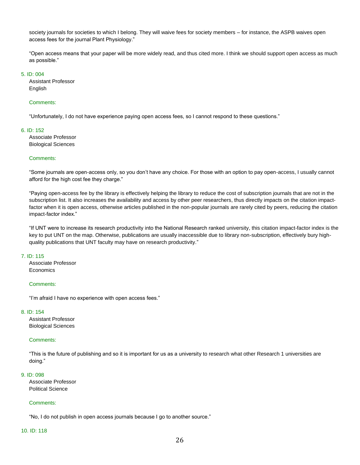society journals for societies to which I belong. They will waive fees for society members – for instance, the ASPB waives open access fees for the journal Plant Physiology."

"Open access means that your paper will be more widely read, and thus cited more. I think we should support open access as much as possible."

#### 5. ID: 004

Assistant Professor **English** 

#### Comments:

"Unfortunately, I do not have experience paying open access fees, so I cannot respond to these questions."

#### 6. ID: 152

Associate Professor Biological Sciences

#### Comments:

"Some journals are open-access only, so you don't have any choice. For those with an option to pay open-access, I usually cannot afford for the high cost fee they charge."

"Paying open-access fee by the library is effectively helping the library to reduce the cost of subscription journals that are not in the subscription list. It also increases the availability and access by other peer researchers, thus directly impacts on the citation impactfactor when it is open access, otherwise articles published in the non-popular journals are rarely cited by peers, reducing the citation impact-factor index."

"If UNT were to increase its research productivity into the National Research ranked university, this citation impact-factor index is the key to put UNT on the map. Otherwise, publications are usually inaccessible due to library non-subscription, effectively bury highquality publications that UNT faculty may have on research productivity."

#### 7. ID: 115

Associate Professor **Economics** 

#### Comments:

"I'm afraid I have no experience with open access fees."

#### 8. ID: 154

Assistant Professor Biological Sciences

#### Comments:

"This is the future of publishing and so it is important for us as a university to research what other Research 1 universities are doing."

#### 9. ID: 098

Associate Professor Political Science

#### Comments:

"No, I do not publish in open access journals because I go to another source."

#### 10. ID: 118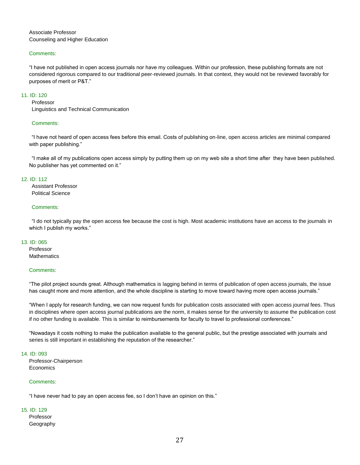Associate Professor Counseling and Higher Education

#### Comments:

"I have not published in open access journals nor have my colleagues. Within our profession, these publishing formats are not considered rigorous compared to our traditional peer-reviewed journals. In that context, they would not be reviewed favorably for purposes of merit or P&T."

#### 11. ID: 120

Professor

Linguistics and Technical Communication

#### Comments:

"I have not heard of open access fees before this email. Costs of publishing on-line, open access articles are minimal compared with paper publishing."

"I make all of my publications open access simply by putting them up on my web site a short time after they have been published. No publisher has yet commented on it."

#### 12. ID: 112

Assistant Professor Political Science

#### Comments:

"I do not typically pay the open access fee because the cost is high. Most academic institutions have an access to the journals in which I publish my works."

#### 13. ID: 065

Professor **Mathematics** 

#### Comments:

"The pilot project sounds great. Although mathematics is lagging behind in terms of publication of open access journals, the issue has caught more and more attention, and the whole discipline is starting to move toward having more open access journals."

"When I apply for research funding, we can now request funds for publication costs associated with open access journal fees. Thus in disciplines where open access journal publications are the norm, it makes sense for the university to assume the publication cost if no other funding is available. This is similar to reimbursements for faculty to travel to professional conferences."

"Nowadays it costs nothing to make the publication available to the general public, but the prestige associated with journals and series is still important in establishing the reputation of the researcher."

#### 14. ID: 093

Professor-Chairperson Economics

#### Comments:

"I have never had to pay an open access fee, so I don't have an opinion on this."

#### 15. ID: 129

Professor Geography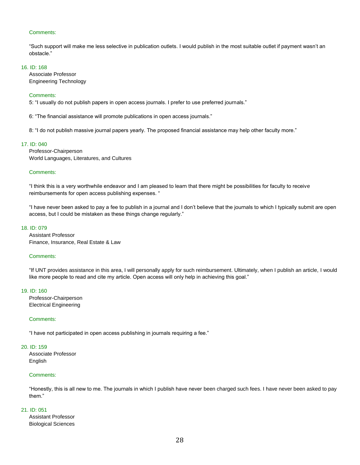#### Comments:

"Such support will make me less selective in publication outlets. I would publish in the most suitable outlet if payment wasn't an obstacle."

#### 16. ID: 168

Associate Professor Engineering Technology

#### Comments:

5: "I usually do not publish papers in open access journals. I prefer to use preferred journals."

6: "The financial assistance will promote publications in open access journals."

8: "I do not publish massive journal papers yearly. The proposed financial assistance may help other faculty more."

#### 17. ID: 040

Professor-Chairperson World Languages, Literatures, and Cultures

#### Comments:

"I think this is a very worthwhile endeavor and I am pleased to learn that there might be possibilities for faculty to receive reimbursements for open access publishing expenses. "

"I have never been asked to pay a fee to publish in a journal and I don't believe that the journals to which I typically submit are open access, but I could be mistaken as these things change regularly."

#### 18. ID: 079

Assistant Professor Finance, Insurance, Real Estate & Law

#### Comments:

"If UNT provides assistance in this area, I will personally apply for such reimbursement. Ultimately, when I publish an article, I would like more people to read and cite my article. Open access will only help in achieving this goal."

#### 19. ID: 160

Professor-Chairperson Electrical Engineering

#### Comments:

"I have not participated in open access publishing in journals requiring a fee."

#### 20. ID: 159

Associate Professor English

#### Comments:

"Honestly, this is all new to me. The journals in which I publish have never been charged such fees. I have never been asked to pay them<sup>"</sup>

#### 21. ID: 051

Assistant Professor Biological Sciences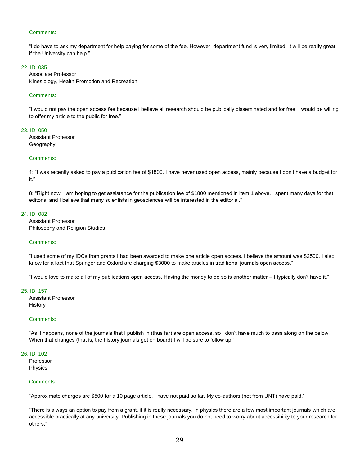#### Comments:

"I do have to ask my department for help paying for some of the fee. However, department fund is very limited. It will be really great if the University can help."

#### 22. ID: 035

Associate Professor Kinesiology, Health Promotion and Recreation

#### Comments:

"I would not pay the open access fee because I believe all research should be publically disseminated and for free. I would be willing to offer my article to the public for free."

#### 23. ID: 050

Assistant Professor Geography

#### Comments:

1: "I was recently asked to pay a publication fee of \$1800. I have never used open access, mainly because I don't have a budget for it."

8: "Right now, I am hoping to get assistance for the publication fee of \$1800 mentioned in item 1 above. I spent many days for that editorial and I believe that many scientists in geosciences will be interested in the editorial."

#### 24. ID: 082

Assistant Professor Philosophy and Religion Studies

#### Comments:

"I used some of my IDCs from grants I had been awarded to make one article open access. I believe the amount was \$2500. I also know for a fact that Springer and Oxford are charging \$3000 to make articles in traditional journals open access."

"I would love to make all of my publications open access. Having the money to do so is another matter – I typically don't have it."

#### 25. ID: 157

Assistant Professor History

#### Comments:

"As it happens, none of the journals that I publish in (thus far) are open access, so I don't have much to pass along on the below. When that changes (that is, the history journals get on board) I will be sure to follow up."

#### 26. ID: 102

Professor Physics

#### Comments:

"Approximate charges are \$500 for a 10 page article. I have not paid so far. My co-authors (not from UNT) have paid."

"There is always an option to pay from a grant, if it is really necessary. In physics there are a few most important journals which are accessible practically at any university. Publishing in these journals you do not need to worry about accessibility to your research for others."